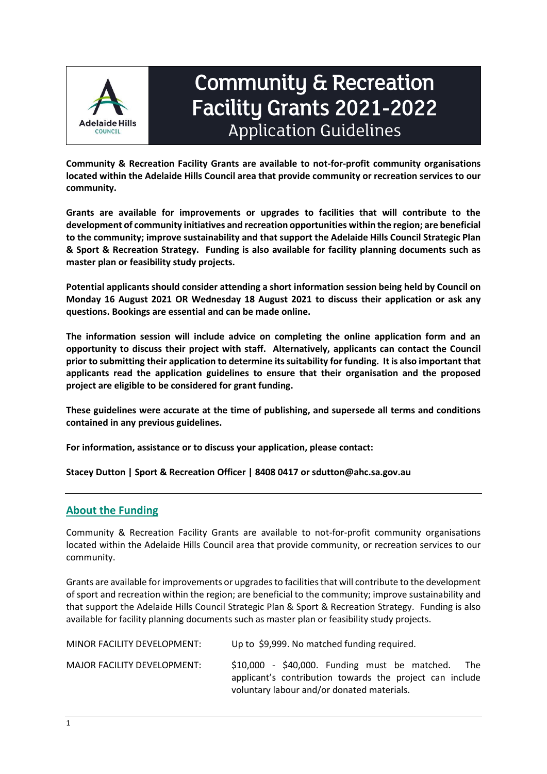

# Community & Recreation Facility Grants 2021-2022 Application Guidelines

**Community & Recreation Facility Grants are available to not-for-profit community organisations located within the Adelaide Hills Council area that provide community or recreation services to our community.** 

**Grants are available for improvements or upgrades to facilities that will contribute to the development of community initiatives and recreation opportunities within the region; are beneficial to the community; improve sustainability and that support the Adelaide Hills Council Strategic Plan & Sport & Recreation Strategy. Funding is also available for facility planning documents such as master plan or feasibility study projects.**

**Potential applicants should consider attending a short information session being held by Council on Monday 16 August 2021 OR Wednesday 18 August 2021 to discuss their application or ask any questions. Bookings are essential and can be made online.** 

**The information session will include advice on completing the online application form and an opportunity to discuss their project with staff. Alternatively, applicants can contact the Council prior to submitting their application to determine its suitability for funding. It is also important that applicants read the application guidelines to ensure that their organisation and the proposed project are eligible to be considered for grant funding.** 

**These guidelines were accurate at the time of publishing, and supersede all terms and conditions contained in any previous guidelines.** 

**For information, assistance or to discuss your application, please contact:**

**Stacey Dutton | Sport & Recreation Officer | 8408 0417 or sdutton@ahc.sa.gov.au**

# **About the Funding**

Community & Recreation Facility Grants are available to not-for-profit community organisations located within the Adelaide Hills Council area that provide community, or recreation services to our community.

Grants are available for improvements or upgrades to facilities that will contribute to the development of sport and recreation within the region; are beneficial to the community; improve sustainability and that support the Adelaide Hills Council Strategic Plan & Sport & Recreation Strategy. Funding is also available for facility planning documents such as master plan or feasibility study projects.

| MINOR FACILITY DEVELOPMENT: | Up to \$9,999. No matched funding required.                                                                                                                              |
|-----------------------------|--------------------------------------------------------------------------------------------------------------------------------------------------------------------------|
| MAJOR FACILITY DEVELOPMENT: | $$10,000$ - $$40,000$ . Funding must be matched.<br><b>The</b><br>applicant's contribution towards the project can include<br>voluntary labour and/or donated materials. |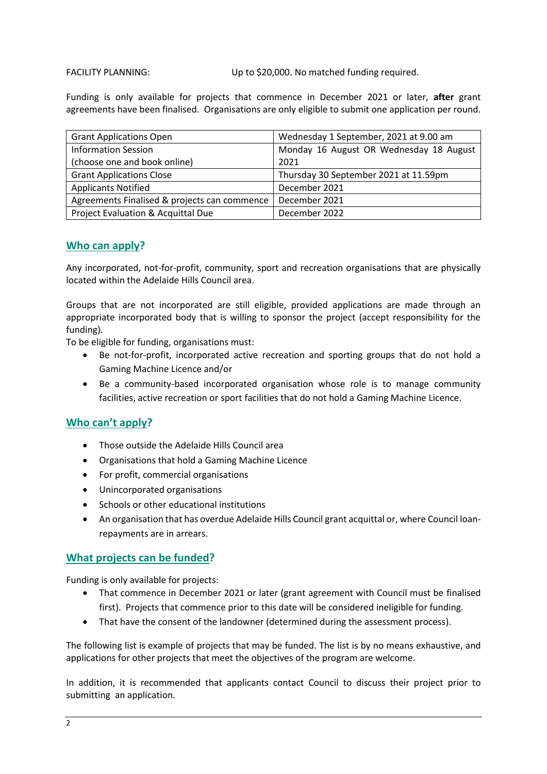FACILITY PLANNING: Up to \$20,000. No matched funding required.

Funding is only available for projects that commence in December 2021 or later, **after** grant agreements have been finalised. Organisations are only eligible to submit one application per round.

| <b>Grant Applications Open</b>               | Wednesday 1 September, 2021 at 9.00 am  |
|----------------------------------------------|-----------------------------------------|
| <b>Information Session</b>                   | Monday 16 August OR Wednesday 18 August |
| (choose one and book online)                 | 2021                                    |
| <b>Grant Applications Close</b>              | Thursday 30 September 2021 at 11.59pm   |
| <b>Applicants Notified</b>                   | December 2021                           |
| Agreements Finalised & projects can commence | December 2021                           |
| Project Evaluation & Acquittal Due           | December 2022                           |

## **Who can apply?**

Any incorporated, not-for-profit, community, sport and recreation organisations that are physically located within the Adelaide Hills Council area.

Groups that are not incorporated are still eligible, provided applications are made through an appropriate incorporated body that is willing to sponsor the project (accept responsibility for the funding).

To be eligible for funding, organisations must:

- Be not-for-profit, incorporated active recreation and sporting groups that do not hold a Gaming Machine Licence and/or
- Be a community-based incorporated organisation whose role is to manage community facilities, active recreation or sport facilities that do not hold a Gaming Machine Licence.

#### **Who can't apply?**

- Those outside the Adelaide Hills Council area
- Organisations that hold a Gaming Machine Licence
- For profit, commercial organisations
- Unincorporated organisations
- Schools or other educational institutions
- An organisation that has overdue Adelaide Hills Council grant acquittal or, where Council loanrepayments are in arrears.

#### **What projects can be funded?**

Funding is only available for projects:

- That commence in December 2021 or later (grant agreement with Council must be finalised first). Projects that commence prior to this date will be considered ineligible for funding.
- That have the consent of the landowner (determined during the assessment process).

The following list is example of projects that may be funded. The list is by no means exhaustive, and applications for other projects that meet the objectives of the program are welcome.

In addition, it is recommended that applicants contact Council to discuss their project prior to submitting an application.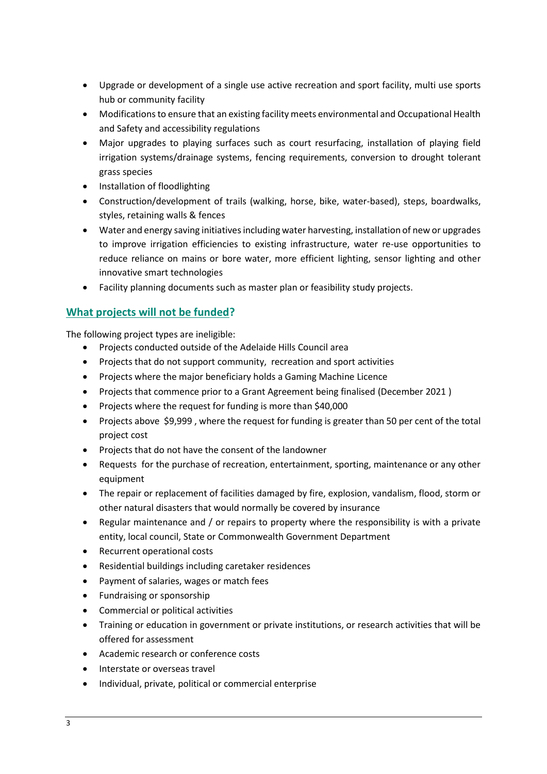- Upgrade or development of a single use active recreation and sport facility, multi use sports hub or community facility
- Modifications to ensure that an existing facility meets environmental and Occupational Health and Safety and accessibility regulations
- Major upgrades to playing surfaces such as court resurfacing, installation of playing field irrigation systems/drainage systems, fencing requirements, conversion to drought tolerant grass species
- Installation of floodlighting
- Construction/development of trails (walking, horse, bike, water-based), steps, boardwalks, styles, retaining walls & fences
- Water and energy saving initiatives including water harvesting, installation of new or upgrades to improve irrigation efficiencies to existing infrastructure, water re-use opportunities to reduce reliance on mains or bore water, more efficient lighting, sensor lighting and other innovative smart technologies
- Facility planning documents such as master plan or feasibility study projects.

## **What projects will not be funded?**

The following project types are ineligible:

- Projects conducted outside of the Adelaide Hills Council area
- Projects that do not support community, recreation and sport activities
- Projects where the major beneficiary holds a Gaming Machine Licence
- Projects that commence prior to a Grant Agreement being finalised (December 2021 )
- Projects where the request for funding is more than \$40,000
- Projects above \$9,999 , where the request for funding is greater than 50 per cent of the total project cost
- Projects that do not have the consent of the landowner
- Requests for the purchase of recreation, entertainment, sporting, maintenance or any other equipment
- The repair or replacement of facilities damaged by fire, explosion, vandalism, flood, storm or other natural disasters that would normally be covered by insurance
- Regular maintenance and / or repairs to property where the responsibility is with a private entity, local council, State or Commonwealth Government Department
- Recurrent operational costs
- Residential buildings including caretaker residences
- Payment of salaries, wages or match fees
- Fundraising or sponsorship
- Commercial or political activities
- Training or education in government or private institutions, or research activities that will be offered for assessment
- Academic research or conference costs
- Interstate or overseas travel
- Individual, private, political or commercial enterprise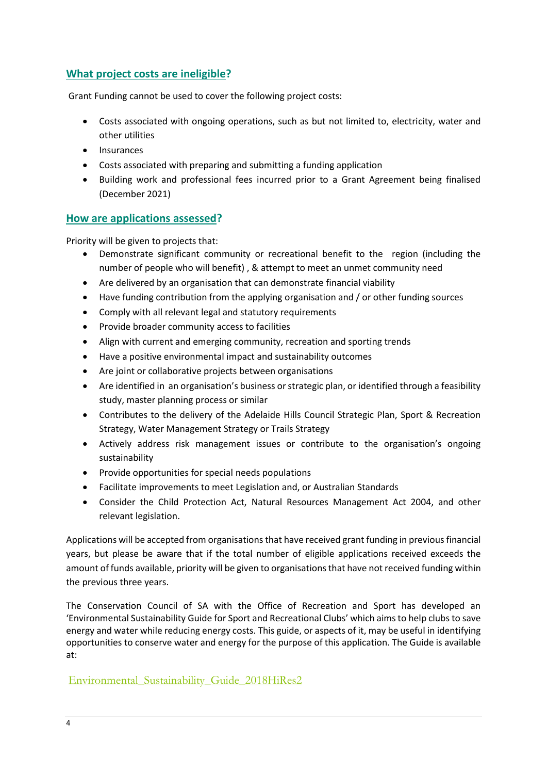## **What project costs are ineligible?**

Grant Funding cannot be used to cover the following project costs:

- Costs associated with ongoing operations, such as but not limited to, electricity, water and other utilities
- **•** Insurances
- Costs associated with preparing and submitting a funding application
- Building work and professional fees incurred prior to a Grant Agreement being finalised (December 2021)

## **How are applications assessed?**

Priority will be given to projects that:

- Demonstrate significant community or recreational benefit to the region (including the number of people who will benefit) , & attempt to meet an unmet community need
- Are delivered by an organisation that can demonstrate financial viability
- Have funding contribution from the applying organisation and / or other funding sources
- Comply with all relevant legal and statutory requirements
- Provide broader community access to facilities
- Align with current and emerging community, recreation and sporting trends
- Have a positive environmental impact and sustainability outcomes
- Are joint or collaborative projects between organisations
- Are identified in an organisation's business or strategic plan, or identified through a feasibility study, master planning process or similar
- Contributes to the delivery of the Adelaide Hills Council Strategic Plan, Sport & Recreation Strategy, Water Management Strategy or Trails Strategy
- Actively address risk management issues or contribute to the organisation's ongoing sustainability
- Provide opportunities for special needs populations
- Facilitate improvements to meet Legislation and, or Australian Standards
- Consider the Child Protection Act, Natural Resources Management Act 2004, and other relevant legislation.

Applications will be accepted from organisations that have received grant funding in previous financial years, but please be aware that if the total number of eligible applications received exceeds the amount of funds available, priority will be given to organisations that have not received funding within the previous three years.

The Conservation Council of SA with the Office of Recreation and Sport has developed an 'Environmental Sustainability Guide for Sport and Recreational Clubs' which aims to help clubs to save energy and water while reducing energy costs. This guide, or aspects of it, may be useful in identifying opportunities to conserve water and energy for the purpose of this application. The Guide is available at:

[Environmental\\_Sustainability\\_Guide\\_2018HiRes2](file://///data1/users$/sdutton/Downloads/Environmental_Sustainability_Guide_2018HiRes2.pdf)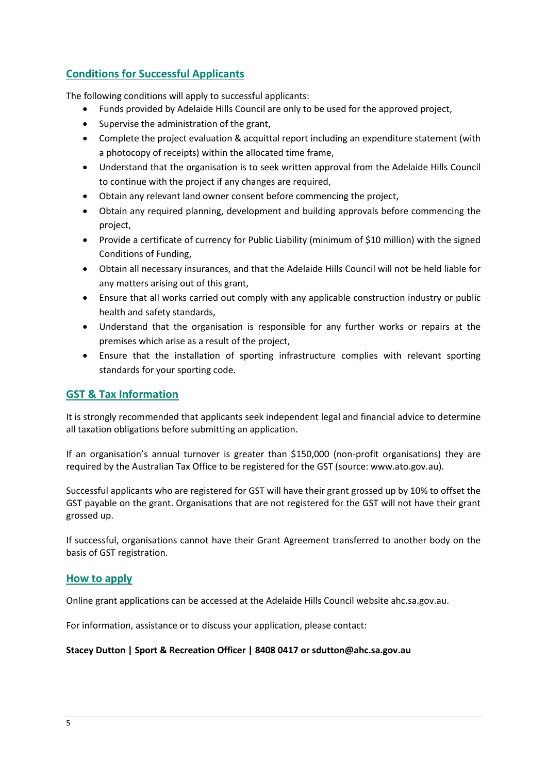# **Conditions for Successful Applicants**

The following conditions will apply to successful applicants:

- Funds provided by Adelaide Hills Council are only to be used for the approved project,
- Supervise the administration of the grant,
- Complete the project evaluation & acquittal report including an expenditure statement (with a photocopy of receipts) within the allocated time frame,
- Understand that the organisation is to seek written approval from the Adelaide Hills Council to continue with the project if any changes are required,
- Obtain any relevant land owner consent before commencing the project,
- Obtain any required planning, development and building approvals before commencing the project,
- Provide a certificate of currency for Public Liability (minimum of \$10 million) with the signed Conditions of Funding,
- Obtain all necessary insurances, and that the Adelaide Hills Council will not be held liable for any matters arising out of this grant,
- Ensure that all works carried out comply with any applicable construction industry or public health and safety standards,
- Understand that the organisation is responsible for any further works or repairs at the premises which arise as a result of the project,
- Ensure that the installation of sporting infrastructure complies with relevant sporting standards for your sporting code.

## **GST & Tax Information**

It is strongly recommended that applicants seek independent legal and financial advice to determine all taxation obligations before submitting an application.

If an organisation's annual turnover is greater than \$150,000 (non-profit organisations) they are required by the Australian Tax Office to be registered for the GST (source: www.ato.gov.au).

Successful applicants who are registered for GST will have their grant grossed up by 10% to offset the GST payable on the grant. Organisations that are not registered for the GST will not have their grant grossed up.

If successful, organisations cannot have their Grant Agreement transferred to another body on the basis of GST registration.

#### **How to apply**

Online grant applications can be accessed at the Adelaide Hills Council website ahc.sa.gov.au.

For information, assistance or to discuss your application, please contact:

#### **Stacey Dutton | Sport & Recreation Officer | 8408 0417 or sdutton@ahc.sa.gov.au**